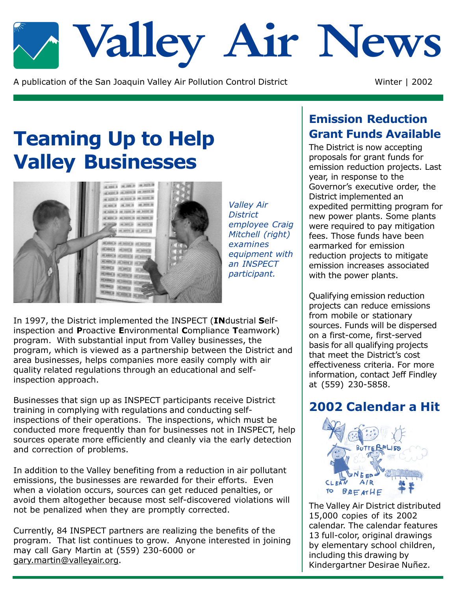

A publication of the San Joaquin Valley Air Pollution Control District

Winter | 2002

# **Teaming Up to Help Valley Businesses**



**Valley Air District** employee Craig Mitchell (right) examines equipment with an INSPECT participant.

In 1997, the District implemented the INSPECT (INdustrial Selfinspection and Proactive Environmental Compliance Teamwork) program. With substantial input from Valley businesses, the program, which is viewed as a partnership between the District and area businesses, helps companies more easily comply with air quality related regulations through an educational and selfinspection approach.

Businesses that sign up as INSPECT participants receive District training in complying with regulations and conducting selfinspections of their operations. The inspections, which must be conducted more frequently than for businesses not in INSPECT, help sources operate more efficiently and cleanly via the early detection and correction of problems.

In addition to the Valley benefiting from a reduction in air pollutant emissions, the businesses are rewarded for their efforts. Even when a violation occurs, sources can get reduced penalties, or avoid them altogether because most self-discovered violations will not be penalized when they are promptly corrected.

Currently, 84 INSPECT partners are realizing the benefits of the program. That list continues to grow. Anyone interested in joining may call Gary Martin at (559) 230-6000 or gary.martin@valleyair.org.

### **Emission Reduction Grant Funds Available**

The District is now accepting proposals for grant funds for emission reduction projects. Last year, in response to the Governor's executive order, the District implemented an expedited permitting program for new power plants. Some plants were required to pay mitigation fees. Those funds have been earmarked for emission reduction projects to mitigate emission increases associated with the power plants.

Qualifying emission reduction projects can reduce emissions from mobile or stationary sources. Funds will be dispersed on a first-come, first-served basis for all qualifying projects that meet the District's cost effectiveness criteria. For more information, contact Jeff Findley at (559) 230-5858.

### 2002 Calendar a Hit



The Valley Air District distributed 15,000 copies of its 2002 calendar. The calendar features 13 full-color, original drawings by elementary school children, including this drawing by Kindergartner Desirae Nuñez.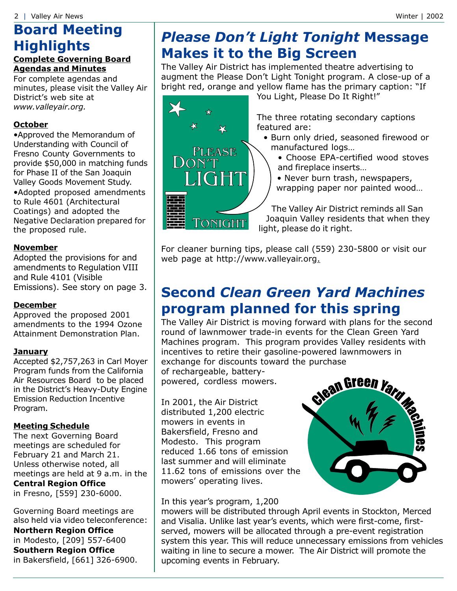## **Board Meeting Highlights**

#### **Complete Governing Board Agendas and Minutes**

For complete agendas and minutes, please visit the Valley Air District's web site at www.valleyair.org.

#### **October**

•Approved the Memorandum of Understanding with Council of Fresno County Governments to provide \$50,000 in matching funds for Phase II of the San Joaquin Valley Goods Movement Study. •Adopted proposed amendments to Rule 4601 (Architectural Coatings) and adopted the Negative Declaration prepared for the proposed rule.

#### **November**

Adopted the provisions for and amendments to Regulation VIII and Rule 4101 (Visible Emissions). See story on page 3.

#### **December**

Approved the proposed 2001 amendments to the 1994 Ozone Attainment Demonstration Plan.

#### **January**

Accepted \$2,757,263 in Carl Moyer Program funds from the California Air Resources Board to be placed in the District's Heavy-Duty Engine **Emission Reduction Incentive** Program.

#### **Meeting Schedule**

The next Governing Board meetings are scheduled for February 21 and March 21. Unless otherwise noted, all meetings are held at 9 a.m. in the **Central Region Office** in Fresno, [559] 230-6000.

Governing Board meetings are also held via video teleconference: **Northern Region Office** in Modesto, [209] 557-6400 **Southern Region Office** in Bakersfield, [661] 326-6900.

### **Please Don't Light Tonight Message Makes it to the Big Screen**

The Valley Air District has implemented theatre advertising to augment the Please Don't Light Tonight program. A close-up of a bright red, orange and yellow flame has the primary caption: "If



You Light, Please Do It Right!"

The three rotating secondary captions featured are:

- Burn only dried, seasoned firewood or manufactured logs...
	- Choose EPA-certified wood stoves and fireplace inserts...
	- Never burn trash, newspapers,
	- wrapping paper nor painted wood...

The Valley Air District reminds all San Joaquin Valley residents that when they light, please do it right.

For cleaner burning tips, please call (559) 230-5800 or visit our web page at http://www.valleyair.org.

### **Second Clean Green Yard Machines** program planned for this spring

The Valley Air District is moving forward with plans for the second round of lawnmower trade-in events for the Clean Green Yard Machines program. This program provides Valley residents with incentives to retire their gasoline-powered lawnmowers in exchange for discounts toward the purchase

of rechargeable, batterypowered, cordless mowers.

In 2001, the Air District distributed 1,200 electric mowers in events in Bakersfield, Fresno and Modesto. This program reduced 1.66 tons of emission last summer and will eliminate 11.62 tons of emissions over the mowers' operating lives.

In this year's program, 1,200



mowers will be distributed through April events in Stockton, Merced and Visalia. Unlike last year's events, which were first-come, firstserved, mowers will be allocated through a pre-event registration system this year. This will reduce unnecessary emissions from vehicles waiting in line to secure a mower. The Air District will promote the upcoming events in February.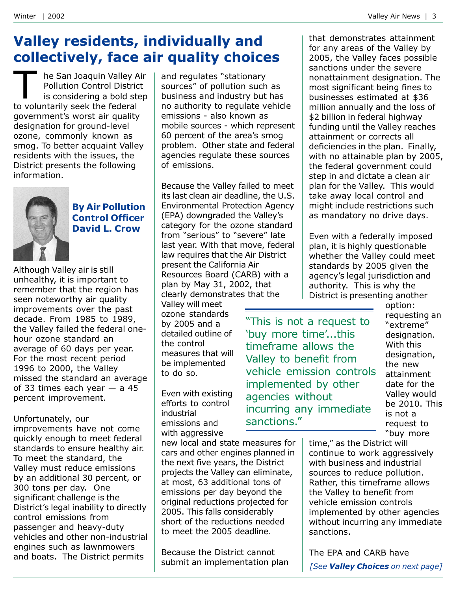### **Valley residents, individually and** collectively, face air quality choices

he San Joaquin Valley Air **Pollution Control District** is considering a bold step to voluntarily seek the federal government's worst air quality designation for ground-level ozone, commonly known as smog. To better acquaint Valley residents with the issues, the District presents the following information.



#### **By Air Pollution Control Officer David L. Crow**

Although Valley air is still unhealthy, it is important to remember that the region has seen noteworthy air quality improvements over the past decade. From 1985 to 1989, the Valley failed the federal onehour ozone standard an average of 60 days per year. For the most recent period 1996 to 2000, the Valley missed the standard an average of 33 times each year  $-$  a 45 percent improvement.

#### Unfortunately, our

improvements have not come quickly enough to meet federal standards to ensure healthy air. To meet the standard, the Valley must reduce emissions by an additional 30 percent, or 300 tons per day. One significant challenge is the District's legal inability to directly control emissions from passenger and heavy-duty vehicles and other non-industrial engines such as lawnmowers and boats. The District permits

and regulates "stationary sources" of pollution such as business and industry but has no authority to regulate vehicle emissions - also known as mobile sources - which represent 60 percent of the area's smog problem. Other state and federal agencies regulate these sources of emissions.

Because the Valley failed to meet its last clean air deadline, the U.S. **Environmental Protection Agency** (EPA) downgraded the Valley's category for the ozone standard from "serious" to "severe" late last year. With that move, federal law requires that the Air District present the California Air Resources Board (CARB) with a plan by May 31, 2002, that clearly demonstrates that the

Valley will meet ozone standards by 2005 and a detailed outline of the control measures that will be implemented to do so.

Even with existing efforts to control industrial emissions and with aggressive

new local and state measures for cars and other engines planned in the next five years, the District projects the Valley can eliminate, at most, 63 additional tons of emissions per day beyond the original reductions projected for 2005. This falls considerably short of the reductions needed to meet the 2005 deadline.

Because the District cannot submit an implementation plan that demonstrates attainment for any areas of the Valley by 2005, the Valley faces possible sanctions under the severe nonattainment designation. The most significant being fines to businesses estimated at \$36 million annually and the loss of \$2 billion in federal highway funding until the Valley reaches attainment or corrects all deficiencies in the plan. Finally, with no attainable plan by 2005, the federal government could step in and dictate a clean air plan for the Valley. This would take away local control and might include restrictions such as mandatory no drive days.

Even with a federally imposed plan, it is highly questionable whether the Valley could meet standards by 2005 given the agency's legal jurisdiction and authority. This is why the District is presenting another

"This is not a request to 'buy more time'...this timeframe allows the Valley to benefit from vehicle emission controls implemented by other agencies without incurring any immediate sanctions."

option: requesting an "extreme" designation. With this designation. the new attainment date for the Valley would be 2010. This is not a request to "buy more

time," as the District will continue to work aggressively with business and industrial sources to reduce pollution. Rather, this timeframe allows the Valley to benefit from vehicle emission controls implemented by other agencies without incurring any immediate sanctions.

The EPA and CARB have [See Valley Choices on next page]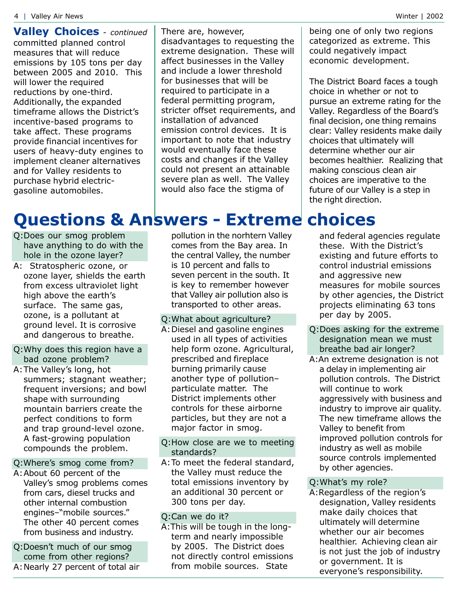**Valley Choices** - continued committed planned control measures that will reduce emissions by 105 tons per day between 2005 and 2010. This will lower the required reductions by one-third. Additionally, the expanded timeframe allows the District's incentive-based programs to take affect. These programs provide financial incentives for users of heavy-duty engines to implement cleaner alternatives and for Valley residents to purchase hybrid electricgasoline automobiles.

There are, however, disadvantages to requesting the extreme designation. These will affect businesses in the Valley and include a lower threshold for businesses that will be required to participate in a federal permitting program, stricter offset requirements, and installation of advanced emission control devices. It is important to note that industry would eventually face these costs and changes if the Valley could not present an attainable severe plan as well. The Valley would also face the stigma of

being one of only two regions categorized as extreme. This could negatively impact economic development.

The District Board faces a tough choice in whether or not to pursue an extreme rating for the Valley. Regardless of the Board's final decision, one thing remains clear: Valley residents make daily choices that ultimately will determine whether our air becomes healthier. Realizing that making conscious clean air choices are imperative to the future of our Valley is a step in the right direction.

## **Questions & Answers - Extreme choices**

- Q:Does our smog problem have anything to do with the hole in the ozone laver?
- A: Stratospheric ozone, or ozone layer, shields the earth from excess ultraviolet light high above the earth's surface. The same gas, ozone, is a pollutant at ground level. It is corrosive and dangerous to breathe.
- O: Why does this region have a bad ozone problem?
- A: The Valley's long, hot summers; stagnant weather; frequent inversions; and bowl shape with surrounding mountain barriers create the perfect conditions to form and trap ground-level ozone. A fast-growing population compounds the problem.

#### Q: Where's smog come from?

- A: About 60 percent of the Valley's smog problems comes from cars, diesel trucks and other internal combustion engines-"mobile sources." The other 40 percent comes from business and industry.
- O:Doesn't much of our smog come from other regions? A: Nearly 27 percent of total air

pollution in the norhtern Valley comes from the Bay area. In the central Valley, the number is 10 percent and falls to seven percent in the south. It is key to remember however that Valley air pollution also is transported to other areas.

#### O: What about agriculture?

A: Diesel and gasoline engines used in all types of activities help form ozone. Agricultural, prescribed and fireplace burning primarily cause another type of pollutionparticulate matter. The District implements other controls for these airborne particles, but they are not a major factor in smog.

#### Q:How close are we to meeting standards?

A: To meet the federal standard, the Valley must reduce the total emissions inventory by an additional 30 percent or 300 tons per day.

#### Q:Can we do it?

A: This will be tough in the longterm and nearly impossible by 2005. The District does not directly control emissions from mobile sources. State

and federal agencies regulate these. With the District's existing and future efforts to control industrial emissions and aggressive new measures for mobile sources by other agencies, the District projects eliminating 63 tons per day by 2005.

- Q:Does asking for the extreme designation mean we must breathe bad air longer?
- A: An extreme designation is not a delay in implementing air pollution controls. The District will continue to work aggressively with business and industry to improve air quality. The new timeframe allows the Valley to benefit from improved pollution controls for industry as well as mobile source controls implemented by other agencies.

#### Q: What's my role?

A: Regardless of the region's designation, Valley residents make daily choices that ultimately will determine whether our air becomes healthier. Achieving clean air is not just the job of industry or government. It is everyone's responsibility.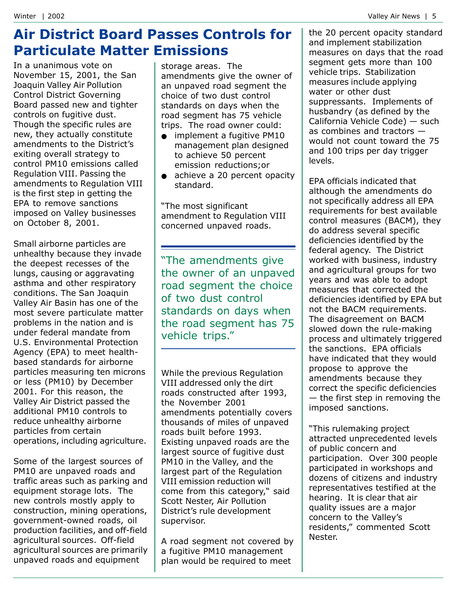### **Air District Board Passes Controls for Particulate Matter Emissions**

In a unanimous vote on November 15, 2001, the San Joaquin Valley Air Pollution **Control District Governing** Board passed new and tighter controls on fugitive dust. Though the specific rules are new, they actually constitute amendments to the District's exiting overall strategy to control PM10 emissions called Regulation VIII. Passing the amendments to Regulation VIII is the first step in getting the EPA to remove sanctions imposed on Valley businesses on October 8, 2001.

Small airborne particles are unhealthy because they invade the deepest recesses of the lungs, causing or aggravating asthma and other respiratory conditions. The San Joaquin Valley Air Basin has one of the most severe particulate matter problems in the nation and is under federal mandate from U.S. Environmental Protection Agency (EPA) to meet healthbased standards for airborne particles measuring ten microns or less (PM10) by December 2001. For this reason, the Valley Air District passed the additional PM10 controls to reduce unhealthy airborne particles from certain operations, including agriculture.

Some of the largest sources of PM10 are unpaved roads and traffic areas such as parking and equipment storage lots. The new controls mostly apply to construction, mining operations, government-owned roads, oil production facilities, and off-field agricultural sources. Off-field agricultural sources are primarily unpaved roads and equipment

storage areas. The amendments give the owner of an unpaved road segment the choice of two dust control standards on days when the road segment has 75 vehicle trips. The road owner could:

- $\bullet$ implement a fugitive PM10 management plan designed to achieve 50 percent emission reductions: or
- achieve a 20 percent opacity  $\bullet$ standard.

"The most significant amendment to Regulation VIII concerned unpaved roads.

"The amendments give the owner of an unpaved road segment the choice of two dust control standards on days when the road segment has 75 vehicle trips."

While the previous Regulation VIII addressed only the dirt roads constructed after 1993, the November 2001 amendments potentially covers thousands of miles of unpaved roads built before 1993. Existing unpaved roads are the largest source of fugitive dust PM10 in the Valley, and the largest part of the Regulation VIII emission reduction will come from this category," said Scott Nester, Air Pollution District's rule development supervisor.

A road segment not covered by a fugitive PM10 management plan would be required to meet

the 20 percent opacity standard and implement stabilization measures on days that the road segment gets more than 100 vehicle trips. Stabilization measures include applying water or other dust suppressants. Implements of husbandry (as defined by the California Vehicle Code) - such as combines and tractors  $$ would not count toward the 75 and 100 trips per day trigger levels.

EPA officials indicated that although the amendments do not specifically address all EPA requirements for best available control measures (BACM), they do address several specific deficiencies identified by the federal agency. The District worked with business, industry and agricultural groups for two vears and was able to adopt measures that corrected the deficiencies identified by EPA but not the BACM requirements. The disagreement on BACM slowed down the rule-making process and ultimately triggered the sanctions. EPA officials have indicated that they would propose to approve the amendments because they correct the specific deficiencies  $-$  the first step in removing the imposed sanctions.

"This rulemaking project attracted unprecedented levels of public concern and participation. Over 300 people participated in workshops and dozens of citizens and industry representatives testified at the hearing. It is clear that air quality issues are a major concern to the Valley's residents," commented Scott Nester.